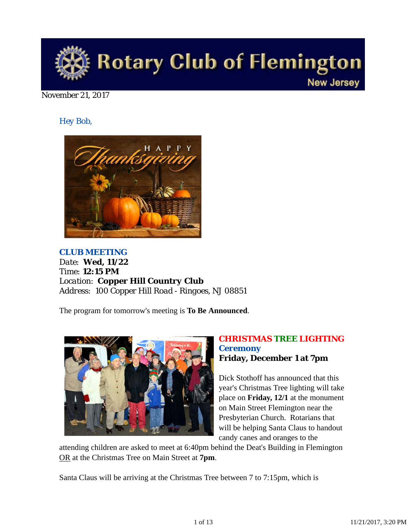

November 21, 2017

*Hey Bob,* 



*CLUB MEETING Date: Wed, 11/22 Time: 12:15 PM Location: Copper Hill Country Club Address: 100 Copper Hill Road - Ringoes, NJ 08851*

The program for tomorrow's meeting is **To Be Announced**.



## *CHRISTMAS TREE LIGHTING Ceremony* **Friday, December 1 at 7pm**

Dick Stothoff has announced that this year's Christmas Tree lighting will take place on **Friday, 12/1** at the monument on Main Street Flemington near the Presbyterian Church. Rotarians that will be helping Santa Claus to handout candy canes and oranges to the

attending children are asked to meet at 6:40pm behind the Deat's Building in Flemington OR at the Christmas Tree on Main Street at **7pm**.

Santa Claus will be arriving at the Christmas Tree between 7 to 7:15pm, which is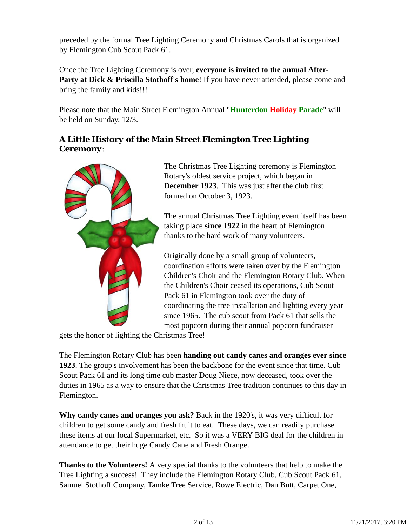preceded by the formal Tree Lighting Ceremony and Christmas Carols that is organized by Flemington Cub Scout Pack 61.

Once the Tree Lighting Ceremony is over, **everyone is invited to the annual After-**Party at Dick & Priscilla Stothoff's home! If you have never attended, please come and bring the family and kids!!!

Please note that the Main Street Flemington Annual "**Hunterdon Holiday Parade**" will be held on Sunday, 12/3.

# *A Little History of the Main Street Flemington Tree Lighting Ceremony*:



The Christmas Tree Lighting ceremony is Flemington Rotary's oldest service project, which began in **December 1923**. This was just after the club first formed on October 3, 1923.

The annual Christmas Tree Lighting event itself has been taking place **since 1922** in the heart of Flemington thanks to the hard work of many volunteers.

Originally done by a small group of volunteers, coordination efforts were taken over by the Flemington Children's Choir and the Flemington Rotary Club. When the Children's Choir ceased its operations, Cub Scout Pack 61 in Flemington took over the duty of coordinating the tree installation and lighting every year since 1965. The cub scout from Pack 61 that sells the most popcorn during their annual popcorn fundraiser

gets the honor of lighting the Christmas Tree!

The Flemington Rotary Club has been **handing out candy canes and oranges ever since 1923**. The group's involvement has been the backbone for the event since that time. Cub Scout Pack 61 and its long time cub master Doug Niece, now deceased, took over the duties in 1965 as a way to ensure that the Christmas Tree tradition continues to this day in Flemington.

**Why candy canes and oranges you ask?** Back in the 1920's, it was very difficult for children to get some candy and fresh fruit to eat. These days, we can readily purchase these items at our local Supermarket, etc. So it was a VERY BIG deal for the children in attendance to get their huge Candy Cane and Fresh Orange.

**Thanks to the Volunteers!** A very special thanks to the volunteers that help to make the Tree Lighting a success! They include the Flemington Rotary Club, Cub Scout Pack 61, Samuel Stothoff Company, Tamke Tree Service, Rowe Electric, Dan Butt, Carpet One,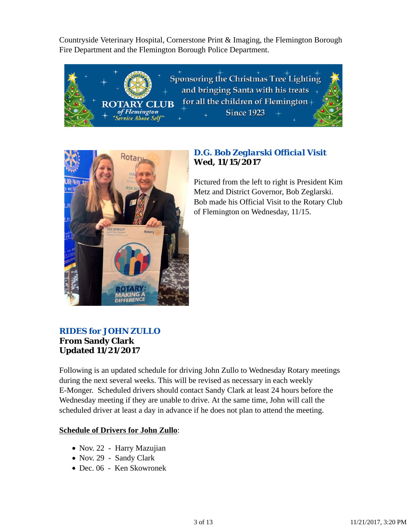Countryside Veterinary Hospital, Cornerstone Print & Imaging, the Flemington Borough Fire Department and the Flemington Borough Police Department.





# *D.G. Bob Zeglarski Official Visit* **Wed, 11/15/2017**

Pictured from the left to right is President Kim Metz and District Governor, Bob Zeglarski. Bob made his Official Visit to the Rotary Club of Flemington on Wednesday, 11/15.

## *RIDES for JOHN ZULLO* **From Sandy Clark Updated 11/21/2017**

Following is an updated schedule for driving John Zullo to Wednesday Rotary meetings during the next several weeks. This will be revised as necessary in each weekly E-Monger. Scheduled drivers should contact Sandy Clark at least 24 hours before the Wednesday meeting if they are unable to drive. At the same time, John will call the scheduled driver at least a day in advance if he does not plan to attend the meeting.

#### **Schedule of Drivers for John Zullo**:

- Nov. 22 Harry Mazujian
- Nov. 29 Sandy Clark
- Dec. 06 Ken Skowronek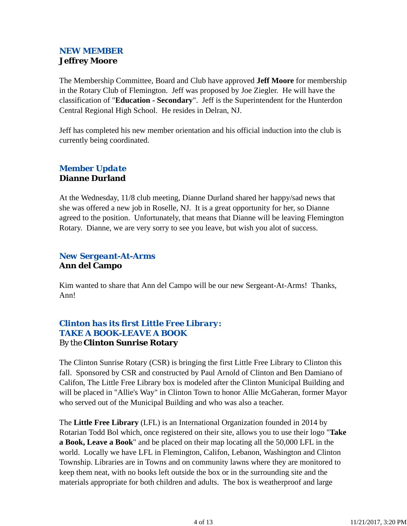# *NEW MEMBER* **Jeffrey Moore**

The Membership Committee, Board and Club have approved **Jeff Moore** for membership in the Rotary Club of Flemington. Jeff was proposed by Joe Ziegler. He will have the classification of "**Education - Secondary**". Jeff is the Superintendent for the Hunterdon Central Regional High School. He resides in Delran, NJ.

Jeff has completed his new member orientation and his official induction into the club is currently being coordinated.

## *Member Update* **Dianne Durland**

At the Wednesday, 11/8 club meeting, Dianne Durland shared her happy/sad news that she was offered a new job in Roselle, NJ. It is a great opportunity for her, so Dianne agreed to the position. Unfortunately, that means that Dianne will be leaving Flemington Rotary. Dianne, we are very sorry to see you leave, but wish you alot of success.

# *New Sergeant-At-Arms* **Ann del Campo**

Kim wanted to share that Ann del Campo will be our new Sergeant-At-Arms! Thanks, Ann!

# *Clinton has its first Little Free Library: TAKE A BOOK-LEAVE A BOOK* By the **Clinton Sunrise Rotary**

The Clinton Sunrise Rotary (CSR) is bringing the first Little Free Library to Clinton this fall. Sponsored by CSR and constructed by Paul Arnold of Clinton and Ben Damiano of Califon, The Little Free Library box is modeled after the Clinton Municipal Building and will be placed in "Allie's Way" in Clinton Town to honor Allie McGaheran, former Mayor who served out of the Municipal Building and who was also a teacher.

The **Little Free Library** (LFL) is an International Organization founded in 2014 by Rotarian Todd Bol which, once registered on their site, allows you to use their logo "**Take a Book, Leave a Book**" and be placed on their map locating all the 50,000 LFL in the world. Locally we have LFL in Flemington, Califon, Lebanon, Washington and Clinton Township. Libraries are in Towns and on community lawns where they are monitored to keep them neat, with no books left outside the box or in the surrounding site and the materials appropriate for both children and adults. The box is weatherproof and large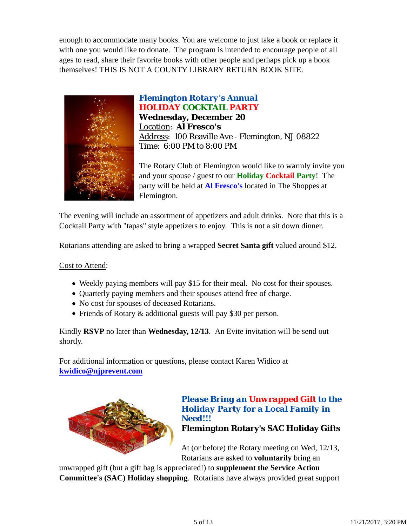enough to accommodate many books. You are welcome to just take a book or replace it with one you would like to donate. The program is intended to encourage people of all ages to read, share their favorite books with other people and perhaps pick up a book themselves! THIS IS NOT A COUNTY LIBRARY RETURN BOOK SITE.



*Flemington Rotary's Annual HOLIDAY COCKTAIL PARTY* **Wednesday, December 20** Location: **Al Fresco's** Address: 100 Reaville Ave - Flemington, NJ 08822 Time: 6:00 PM to 8:00 PM

The Rotary Club of Flemington would like to warmly invite you and your spouse / guest to our **Holiday Cocktail Party**! The party will be held at **Al Fresco's** located in The Shoppes at Flemington.

The evening will include an assortment of appetizers and adult drinks. Note that this is a Cocktail Party with "tapas" style appetizers to enjoy. This is not a sit down dinner.

Rotarians attending are asked to bring a wrapped **Secret Santa gift** valued around \$12.

Cost to Attend:

- Weekly paying members will pay \$15 for their meal. No cost for their spouses.
- Ouarterly paying members and their spouses attend free of charge.
- No cost for spouses of deceased Rotarians.
- Friends of Rotary & additional guests will pay \$30 per person.

Kindly **RSVP** no later than **Wednesday, 12/13**. An Evite invitation will be send out shortly.

For additional information or questions, please contact Karen Widico at **kwidico@njprevent.com**



*Please Bring an Unwrapped Gift to the Holiday Party for a Local Family in Need!!!* **Flemington Rotary's SAC Holiday Gifts**

At (or before) the Rotary meeting on Wed, 12/13, Rotarians are asked to **voluntarily** bring an

unwrapped gift (but a gift bag is appreciated!) to **supplement the Service Action Committee's (SAC) Holiday shopping**. Rotarians have always provided great support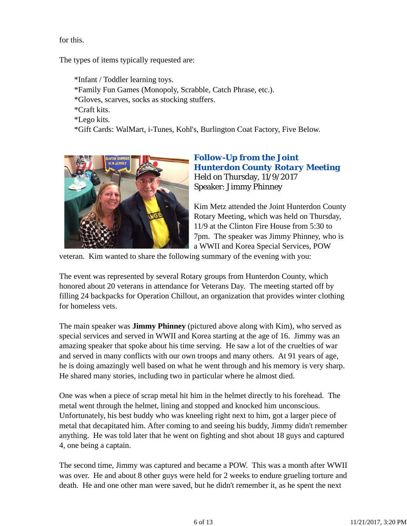for this.

The types of items typically requested are:

\*Infant / Toddler learning toys. \*Family Fun Games (Monopoly, Scrabble, Catch Phrase, etc.). \*Gloves, scarves, socks as stocking stuffers. \*Craft kits. \*Lego kits. \*Gift Cards: WalMart, i-Tunes, Kohl's, Burlington Coat Factory, Five Below.



## *Follow-Up from the Joint Hunterdon County Rotary Meeting* Held on Thursday, 11/9/2017 Speaker: Jimmy Phinney

Kim Metz attended the Joint Hunterdon County Rotary Meeting, which was held on Thursday, 11/9 at the Clinton Fire House from 5:30 to 7pm. The speaker was Jimmy Phinney, who is a WWII and Korea Special Services, POW

veteran. Kim wanted to share the following summary of the evening with you:

The event was represented by several Rotary groups from Hunterdon County, which honored about 20 veterans in attendance for Veterans Day. The meeting started off by filling 24 backpacks for Operation Chillout, an organization that provides winter clothing for homeless vets.

The main speaker was **Jimmy Phinney** (pictured above along with Kim), who served as special services and served in WWII and Korea starting at the age of 16. Jimmy was an amazing speaker that spoke about his time serving. He saw a lot of the cruelties of war and served in many conflicts with our own troops and many others. At 91 years of age, he is doing amazingly well based on what he went through and his memory is very sharp. He shared many stories, including two in particular where he almost died.

One was when a piece of scrap metal hit him in the helmet directly to his forehead. The metal went through the helmet, lining and stopped and knocked him unconscious. Unfortunately, his best buddy who was kneeling right next to him, got a larger piece of metal that decapitated him. After coming to and seeing his buddy, Jimmy didn't remember anything. He was told later that he went on fighting and shot about 18 guys and captured 4, one being a captain.

The second time, Jimmy was captured and became a POW. This was a month after WWII was over. He and about 8 other guys were held for 2 weeks to endure grueling torture and death. He and one other man were saved, but he didn't remember it, as he spent the next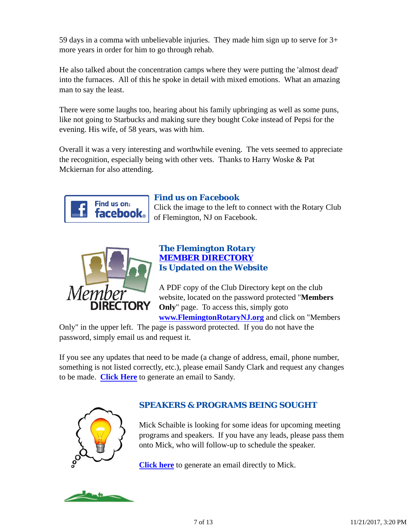59 days in a comma with unbelievable injuries. They made him sign up to serve for 3+ more years in order for him to go through rehab.

He also talked about the concentration camps where they were putting the 'almost dead' into the furnaces. All of this he spoke in detail with mixed emotions. What an amazing man to say the least.

There were some laughs too, hearing about his family upbringing as well as some puns, like not going to Starbucks and making sure they bought Coke instead of Pepsi for the evening. His wife, of 58 years, was with him.

Overall it was a very interesting and worthwhile evening. The vets seemed to appreciate the recognition, especially being with other vets. Thanks to Harry Woske & Pat Mckiernan for also attending.



# *Find us on Facebook*

Click the image to the left to connect with the Rotary Club of Flemington, NJ on Facebook.



#### *The Flemington Rotary MEMBER DIRECTORY Is Updated on the Website*

A PDF copy of the Club Directory kept on the club website, located on the password protected "**Members Only**" page. To access this, simply goto **www.FlemingtonRotaryNJ.org** and click on "Members

Only" in the upper left. The page is password protected. If you do not have the password, simply email us and request it.

If you see any updates that need to be made (a change of address, email, phone number, something is not listed correctly, etc.), please email Sandy Clark and request any changes to be made. **Click Here** to generate an email to Sandy.



# *SPEAKERS & PROGRAMS BEING SOUGHT*

Mick Schaible is looking for some ideas for upcoming meeting programs and speakers. If you have any leads, please pass them onto Mick, who will follow-up to schedule the speaker.

**Click here** to generate an email directly to Mick.

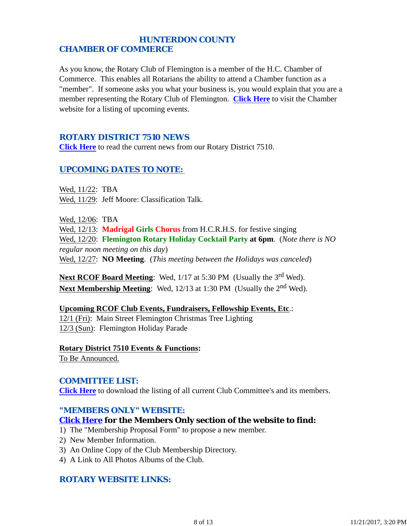## *HUNTERDON COUNTY CHAMBER OF COMMERCE*

As you know, the Rotary Club of Flemington is a member of the H.C. Chamber of Commerce. This enables all Rotarians the ability to attend a Chamber function as a "member". If someone asks you what your business is, you would explain that you are a member representing the Rotary Club of Flemington. **Click Here** to visit the Chamber website for a listing of upcoming events.

### *ROTARY DISTRICT 7510 NEWS*

**Click Here** to read the current news from our Rotary District 7510.

## *UPCOMING DATES TO NOTE:*

Wed, 11/22: TBA Wed, 11/29: Jeff Moore: Classification Talk.

Wed, 12/06: TBA Wed, 12/13: **Madrigal Girls Chorus** from H.C.R.H.S. for festive singing Wed, 12/20: **Flemington Rotary Holiday Cocktail Party at 6pm**. (*Note there is NO*

*regular noon meeting on this day*) Wed, 12/27: **NO Meeting**. (*This meeting between the Holidays was canceled*)

**Next RCOF Board Meeting:** Wed, 1/17 at 5:30 PM (Usually the 3<sup>rd</sup> Wed). **Next Membership Meeting:** Wed, 12/13 at 1:30 PM (Usually the 2<sup>nd</sup> Wed).

**Upcoming RCOF Club Events, Fundraisers, Fellowship Events, Etc**.: 12/1 (Fri): Main Street Flemington Christmas Tree Lighting 12/3 (Sun): Flemington Holiday Parade

**Rotary District 7510 Events & Functions:** To Be Announced.

#### *COMMITTEE LIST:*

**Click Here** to download the listing of all current Club Committee's and its members.

#### *"MEMBERS ONLY" WEBSITE:*

#### **Click Here for the Members Only section of the website to find:**

- 1) The "Membership Proposal Form" to propose a new member.
- 2) New Member Information.
- 3) An Online Copy of the Club Membership Directory.
- 4) A Link to All Photos Albums of the Club.

## *ROTARY WEBSITE LINKS:*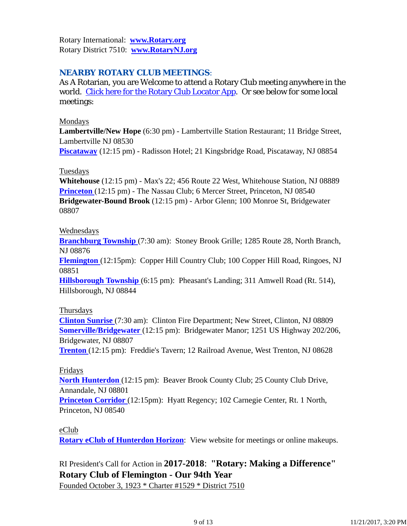Rotary International: **www.Rotary.org** Rotary District 7510: **www.RotaryNJ.org**

# *NEARBY ROTARY CLUB MEETINGS:*

As A Rotarian, you are Welcome to attend a Rotary Club meeting anywhere in the world. Click here for the Rotary Club Locator App. Or see below for some local meetings:

#### Mondays

**Lambertville/New Hope** (6:30 pm) - Lambertville Station Restaurant; 11 Bridge Street, Lambertville NJ 08530

**Piscataway** (12:15 pm) - Radisson Hotel; 21 Kingsbridge Road, Piscataway, NJ 08854

#### **Tuesdays**

**Whitehouse** (12:15 pm) - Max's 22; 456 Route 22 West, Whitehouse Station, NJ 08889 **Princeton** (12:15 pm) - The Nassau Club; 6 Mercer Street, Princeton, NJ 08540 **Bridgewater-Bound Brook** (12:15 pm) - Arbor Glenn; 100 Monroe St, Bridgewater 08807

#### Wednesdays

**Branchburg Township** (7:30 am): Stoney Brook Grille; 1285 Route 28, North Branch, NJ 08876

**Flemington** (12:15pm): Copper Hill Country Club; 100 Copper Hill Road, Ringoes, NJ 08851

**Hillsborough Township** (6:15 pm): Pheasant's Landing; 311 Amwell Road (Rt. 514), Hillsborough, NJ 08844

#### Thursdays

**Clinton Sunrise** (7:30 am): Clinton Fire Department; New Street, Clinton, NJ 08809 **Somerville/Bridgewater** (12:15 pm): Bridgewater Manor; 1251 US Highway 202/206, Bridgewater, NJ 08807

**Trenton** (12:15 pm): Freddie's Tavern; 12 Railroad Avenue, West Trenton, NJ 08628

#### Fridays

**North Hunterdon** (12:15 pm): Beaver Brook County Club; 25 County Club Drive, Annandale, NJ 08801

**Princeton Corridor** (12:15pm): Hyatt Regency; 102 Carnegie Center, Rt. 1 North, Princeton, NJ 08540

#### eClub

**Rotary eClub of Hunterdon Horizon**: View website for meetings or online makeups.

# RI President's Call for Action in **2017-2018**: **"Rotary: Making a Difference" Rotary Club of Flemington - Our 94th Year**

Founded October 3, 1923 \* Charter #1529 \* District 7510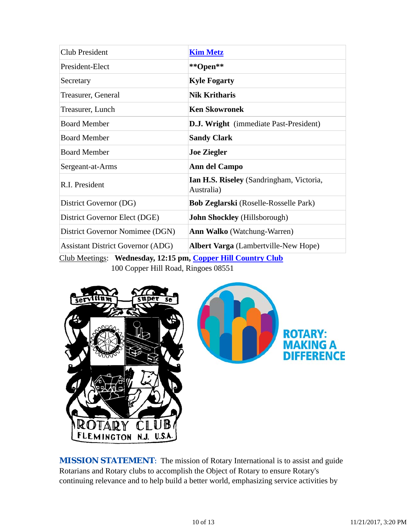| <b>Club President</b>                    | <b>Kim Metz</b>                                        |
|------------------------------------------|--------------------------------------------------------|
| President-Elect                          | **Open**                                               |
| Secretary                                | <b>Kyle Fogarty</b>                                    |
| Treasurer, General                       | <b>Nik Kritharis</b>                                   |
| Treasurer, Lunch                         | <b>Ken Skowronek</b>                                   |
| <b>Board Member</b>                      | <b>D.J. Wright</b> (immediate Past-President)          |
| <b>Board Member</b>                      | <b>Sandy Clark</b>                                     |
| <b>Board Member</b>                      | <b>Joe Ziegler</b>                                     |
| Sergeant-at-Arms                         | Ann del Campo                                          |
| R.I. President                           | Ian H.S. Riseley (Sandringham, Victoria,<br>Australia) |
| District Governor (DG)                   | <b>Bob Zeglarski</b> (Roselle-Rosselle Park)           |
| District Governor Elect (DGE)            | <b>John Shockley</b> (Hillsborough)                    |
| District Governor Nomimee (DGN)          | <b>Ann Walko</b> (Watchung-Warren)                     |
| <b>Assistant District Governor (ADG)</b> | <b>Albert Varga</b> (Lambertville-New Hope)            |

Club Meetings: **Wednesday, 12:15 pm, Copper Hill Country Club** 100 Copper Hill Road, Ringoes 08551



**MISSION STATEMENT:** The mission of Rotary International is to assist and guide Rotarians and Rotary clubs to accomplish the Object of Rotary to ensure Rotary's continuing relevance and to help build a better world, emphasizing service activities by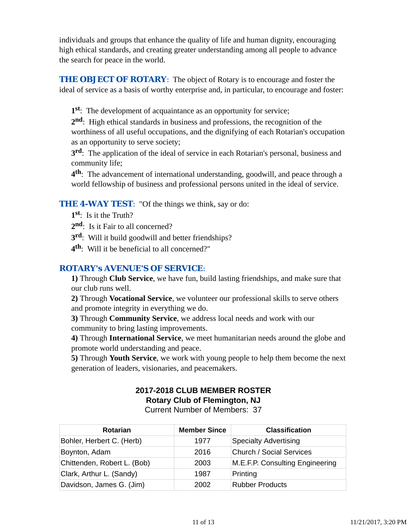individuals and groups that enhance the quality of life and human dignity, encouraging high ethical standards, and creating greater understanding among all people to advance the search for peace in the world.

**THE OBJECT OF ROTARY:** The object of Rotary is to encourage and foster the ideal of service as a basis of worthy enterprise and, in particular, to encourage and foster:

**1st**: The development of acquaintance as an opportunity for service;

**2nd**: High ethical standards in business and professions, the recognition of the worthiness of all useful occupations, and the dignifying of each Rotarian's occupation as an opportunity to serve society;

**3rd**: The application of the ideal of service in each Rotarian's personal, business and community life;

**4th**: The advancement of international understanding, goodwill, and peace through a world fellowship of business and professional persons united in the ideal of service.

# **THE 4-WAY TEST:** "Of the things we think, say or do:

- **1st**: Is it the Truth?
- 2<sup>nd</sup>: Is it Fair to all concerned?
- **3rd**: Will it build goodwill and better friendships?
- **4th**: Will it be beneficial to all concerned?"

## *ROTARY's AVENUE'S OF SERVICE*:

**1)** Through **Club Service**, we have fun, build lasting friendships, and make sure that our club runs well.

**2)** Through **Vocational Service**, we volunteer our professional skills to serve others and promote integrity in everything we do.

**3)** Through **Community Service**, we address local needs and work with our community to bring lasting improvements.

**4)** Through **International Service**, we meet humanitarian needs around the globe and promote world understanding and peace.

**5)** Through **Youth Service**, we work with young people to help them become the next generation of leaders, visionaries, and peacemakers.

# **2017-2018 CLUB MEMBER ROSTER Rotary Club of Flemington, NJ**

Current Number of Members: 37

| <b>Rotarian</b>             | <b>Member Since</b> | <b>Classification</b>           |
|-----------------------------|---------------------|---------------------------------|
| Bohler, Herbert C. (Herb)   | 1977                | <b>Specialty Advertising</b>    |
| Boynton, Adam               | 2016                | <b>Church / Social Services</b> |
| Chittenden, Robert L. (Bob) | 2003                | M.E.F.P. Consulting Engineering |
| Clark, Arthur L. (Sandy)    | 1987                | Printing                        |
| Davidson, James G. (Jim)    | 2002                | <b>Rubber Products</b>          |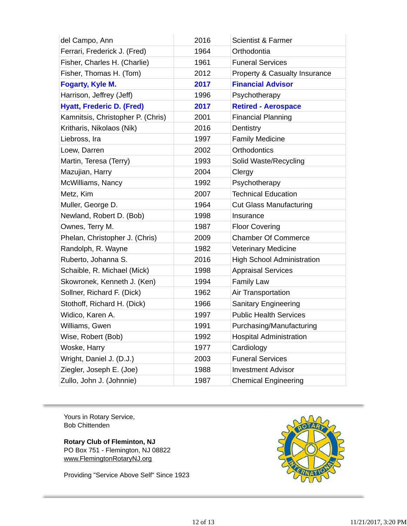| del Campo, Ann                    | 2016 | <b>Scientist &amp; Farmer</b>     |
|-----------------------------------|------|-----------------------------------|
| Ferrari, Frederick J. (Fred)      | 1964 | Orthodontia                       |
| Fisher, Charles H. (Charlie)      | 1961 | <b>Funeral Services</b>           |
| Fisher, Thomas H. (Tom)           | 2012 | Property & Casualty Insurance     |
| Fogarty, Kyle M.                  | 2017 | <b>Financial Advisor</b>          |
| Harrison, Jeffrey (Jeff)          | 1996 | Psychotherapy                     |
| <b>Hyatt, Frederic D. (Fred)</b>  | 2017 | <b>Retired - Aerospace</b>        |
| Kamnitsis, Christopher P. (Chris) | 2001 | <b>Financial Planning</b>         |
| Kritharis, Nikolaos (Nik)         | 2016 | Dentistry                         |
| Liebross, Ira                     | 1997 | <b>Family Medicine</b>            |
| Loew, Darren                      | 2002 | <b>Orthodontics</b>               |
| Martin, Teresa (Terry)            | 1993 | Solid Waste/Recycling             |
| Mazujian, Harry                   | 2004 | Clergy                            |
| McWilliams, Nancy                 | 1992 | Psychotherapy                     |
| Metz, Kim                         | 2007 | <b>Technical Education</b>        |
| Muller, George D.                 | 1964 | <b>Cut Glass Manufacturing</b>    |
| Newland, Robert D. (Bob)          | 1998 | Insurance                         |
| Ownes, Terry M.                   | 1987 | <b>Floor Covering</b>             |
| Phelan, Christopher J. (Chris)    | 2009 | <b>Chamber Of Commerce</b>        |
| Randolph, R. Wayne                | 1982 | <b>Veterinary Medicine</b>        |
| Ruberto, Johanna S.               | 2016 | <b>High School Administration</b> |
| Schaible, R. Michael (Mick)       | 1998 | <b>Appraisal Services</b>         |
| Skowronek, Kenneth J. (Ken)       | 1994 | <b>Family Law</b>                 |
| Sollner, Richard F. (Dick)        | 1962 | Air Transportation                |
| Stothoff, Richard H. (Dick)       | 1966 | Sanitary Engineering              |
| Widico, Karen A.                  | 1997 | <b>Public Health Services</b>     |
| Williams, Gwen                    | 1991 | Purchasing/Manufacturing          |
| Wise, Robert (Bob)                | 1992 | <b>Hospital Administration</b>    |
| Woske, Harry                      | 1977 | Cardiology                        |
| Wright, Daniel J. (D.J.)          | 2003 | <b>Funeral Services</b>           |
| Ziegler, Joseph E. (Joe)          | 1988 | <b>Investment Advisor</b>         |
| Zullo, John J. (Johnnie)          | 1987 | <b>Chemical Engineering</b>       |

Yours in Rotary Service, Bob Chittenden

**Rotary Club of Fleminton, NJ** PO Box 751 - Flemington, NJ 08822 www.FlemingtonRotaryNJ.org

Providing "Service Above Self" Since 1923